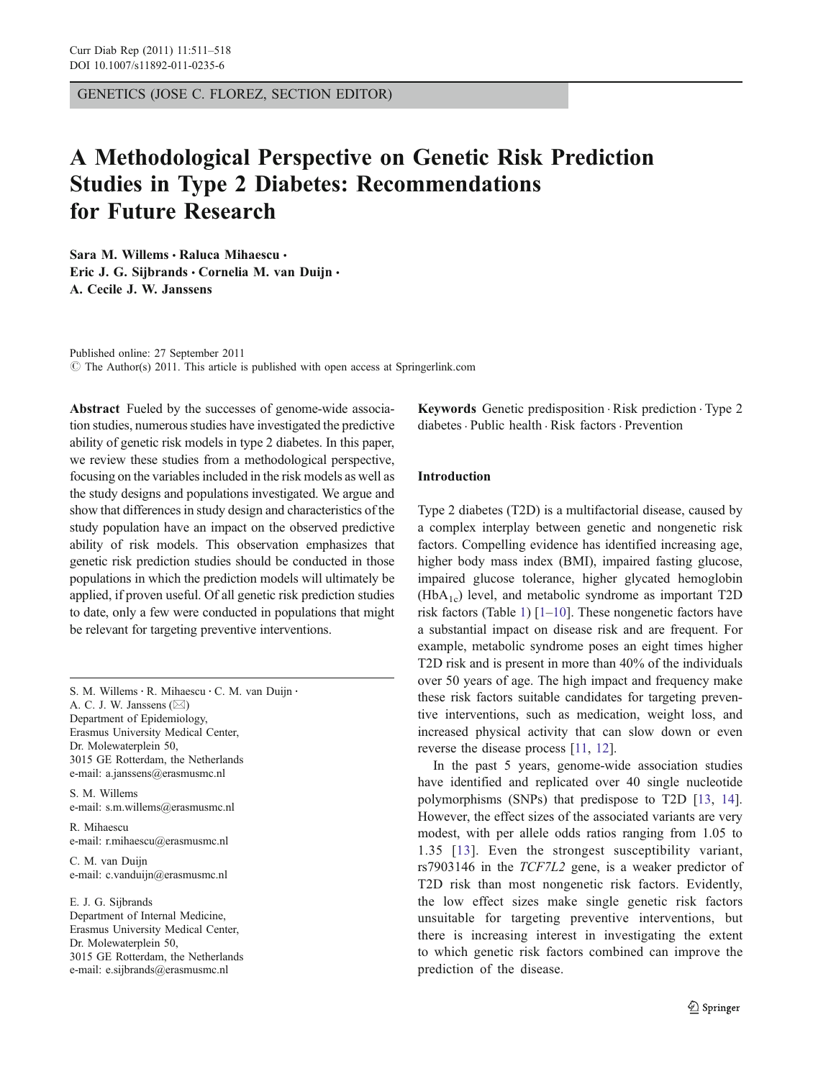GENETICS (JOSE C. FLOREZ, SECTION EDITOR)

# A Methodological Perspective on Genetic Risk Prediction Studies in Type 2 Diabetes: Recommendations for Future Research

Sara M. Willems · Raluca Mihaescu · Eric J. G. Siibrands · Cornelia M. van Duijn · A. Cecile J. W. Janssens

Published online: 27 September 2011

 $\odot$  The Author(s) 2011. This article is published with open access at Springerlink.com

Abstract Fueled by the successes of genome-wide association studies, numerous studies have investigated the predictive ability of genetic risk models in type 2 diabetes. In this paper, we review these studies from a methodological perspective, focusing on the variables included in the risk models as well as the study designs and populations investigated. We argue and show that differences in study design and characteristics of the study population have an impact on the observed predictive ability of risk models. This observation emphasizes that genetic risk prediction studies should be conducted in those populations in which the prediction models will ultimately be applied, if proven useful. Of all genetic risk prediction studies to date, only a few were conducted in populations that might be relevant for targeting preventive interventions.

S. M. Willems · R. Mihaescu · C. M. van Duijn · A. C. J. W. Janssens  $(\boxtimes)$ Department of Epidemiology, Erasmus University Medical Center, Dr. Molewaterplein 50, 3015 GE Rotterdam, the Netherlands e-mail: a.janssens@erasmusmc.nl

S. M. Willems e-mail: s.m.willems@erasmusmc.nl

R. Mihaescu e-mail: r.mihaescu@erasmusmc.nl

C. M. van Duijn e-mail: c.vanduijn@erasmusmc.nl

E. J. G. Sijbrands Department of Internal Medicine, Erasmus University Medical Center, Dr. Molewaterplein 50, 3015 GE Rotterdam, the Netherlands e-mail: e.sijbrands@erasmusmc.nl

Keywords Genetic predisposition . Risk prediction . Type 2 diabetes. Public health . Risk factors . Prevention

# Introduction

Type 2 diabetes (T2D) is a multifactorial disease, caused by a complex interplay between genetic and nongenetic risk factors. Compelling evidence has identified increasing age, higher body mass index (BMI), impaired fasting glucose, impaired glucose tolerance, higher glycated hemoglobin  $(HbA<sub>1c</sub>)$  level, and metabolic syndrome as important T2D risk factors (Table [1\)](#page-1-0)  $[1-10]$  $[1-10]$  $[1-10]$  $[1-10]$ . These nongenetic factors have a substantial impact on disease risk and are frequent. For example, metabolic syndrome poses an eight times higher T2D risk and is present in more than 40% of the individuals over 50 years of age. The high impact and frequency make these risk factors suitable candidates for targeting preventive interventions, such as medication, weight loss, and increased physical activity that can slow down or even reverse the disease process [\[11,](#page-6-0) [12\]](#page-6-0).

In the past 5 years, genome-wide association studies have identified and replicated over 40 single nucleotide polymorphisms (SNPs) that predispose to T2D [\[13](#page-6-0), [14\]](#page-7-0). However, the effect sizes of the associated variants are very modest, with per allele odds ratios ranging from 1.05 to 1.35 [[13](#page-6-0)]. Even the strongest susceptibility variant, rs7903146 in the TCF7L2 gene, is a weaker predictor of T2D risk than most nongenetic risk factors. Evidently, the low effect sizes make single genetic risk factors unsuitable for targeting preventive interventions, but there is increasing interest in investigating the extent to which genetic risk factors combined can improve the prediction of the disease.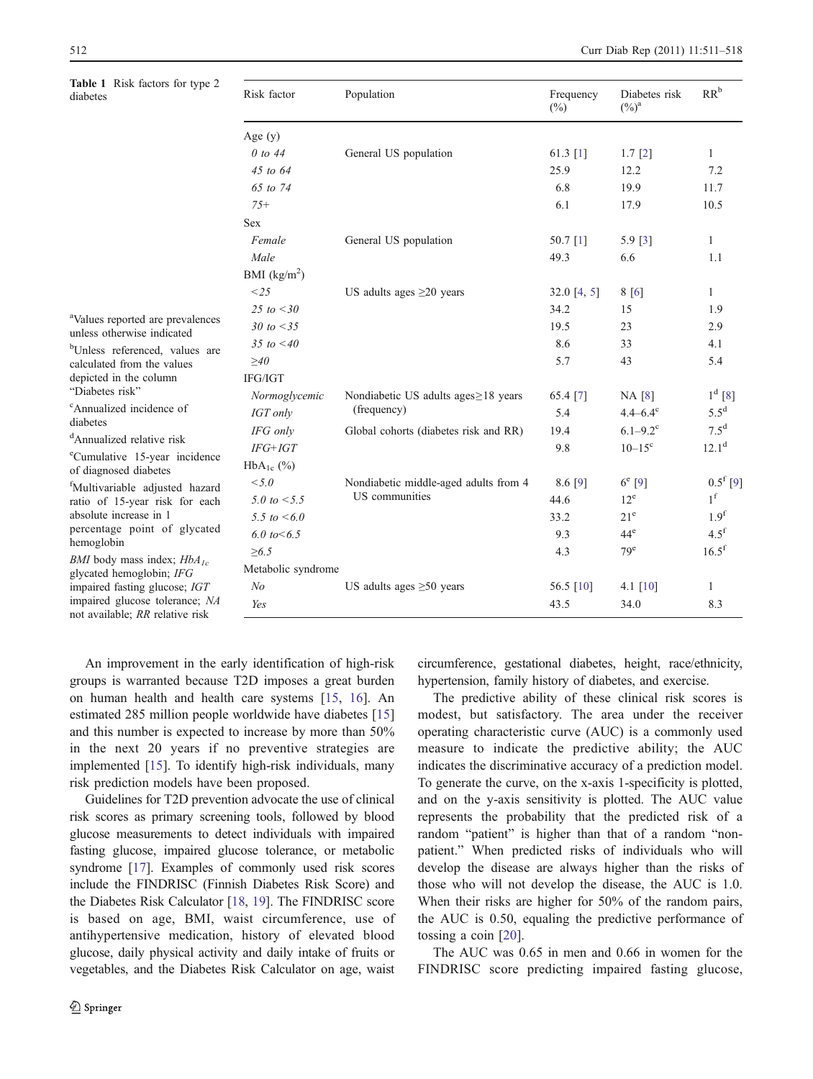Table 1 Risk factors for type 2 dia

<span id="page-1-0"></span>

| Table 1 Risk factors for type 2<br>diabetes<br><sup>a</sup> Values reported are prevalences<br>unless otherwise indicated<br><sup>b</sup> Unless referenced, values are<br>calculated from the values<br>depicted in the column<br>"Diabetes risk"<br><sup>c</sup> Annualized incidence of<br>diabetes<br><sup>d</sup> Annualized relative risk | Risk factor        | Population                                              | Frequency<br>$(\%)$ | Diabetes risk<br>$(\%)^a$ | $RR^b$           |  |
|-------------------------------------------------------------------------------------------------------------------------------------------------------------------------------------------------------------------------------------------------------------------------------------------------------------------------------------------------|--------------------|---------------------------------------------------------|---------------------|---------------------------|------------------|--|
|                                                                                                                                                                                                                                                                                                                                                 | Age $(y)$          |                                                         |                     |                           |                  |  |
|                                                                                                                                                                                                                                                                                                                                                 | $0$ to 44          | General US population                                   | 61.3 $[1]$          | $1.7$ [2]                 | $\mathbf{1}$     |  |
|                                                                                                                                                                                                                                                                                                                                                 | $45$ to $64$       |                                                         | 25.9                | 12.2                      | 7.2              |  |
|                                                                                                                                                                                                                                                                                                                                                 | 65 to 74           |                                                         | 6.8                 | 19.9                      | 11.7             |  |
|                                                                                                                                                                                                                                                                                                                                                 | $75+$              |                                                         | 6.1                 | 17.9                      | 10.5             |  |
|                                                                                                                                                                                                                                                                                                                                                 | <b>Sex</b>         |                                                         |                     |                           |                  |  |
|                                                                                                                                                                                                                                                                                                                                                 | Female             | General US population                                   | 50.7 [1]            | 5.9 [3]                   | $\mathbf{1}$     |  |
|                                                                                                                                                                                                                                                                                                                                                 | Male               |                                                         | 49.3                | 6.6                       | 1.1              |  |
|                                                                                                                                                                                                                                                                                                                                                 | BMI $(kg/m^2)$     |                                                         |                     |                           |                  |  |
|                                                                                                                                                                                                                                                                                                                                                 | <25                | US adults ages $\geq$ 20 years                          | 32.0 [4, 5]         | 8 [6]                     | $\mathbf{1}$     |  |
|                                                                                                                                                                                                                                                                                                                                                 | 25 to $<$ 30       |                                                         | 34.2                | 15                        | 1.9              |  |
|                                                                                                                                                                                                                                                                                                                                                 | 30 to $<$ 35       |                                                         | 19.5                | 23                        | 2.9              |  |
|                                                                                                                                                                                                                                                                                                                                                 | 35 to $< 40$       |                                                         | 8.6                 | 33                        | 4.1              |  |
|                                                                                                                                                                                                                                                                                                                                                 | $\geq 40$          |                                                         | 5.7                 | 43                        | 5.4              |  |
|                                                                                                                                                                                                                                                                                                                                                 | IFG/IGT            |                                                         |                     |                           |                  |  |
|                                                                                                                                                                                                                                                                                                                                                 | Normoglycemic      | Nondiabetic US adults ages≥18 years                     | 65.4 [7]            | NA [8]                    | $1^d$ [8]        |  |
|                                                                                                                                                                                                                                                                                                                                                 | IGT only           | (frequency)                                             | 5.4                 | $4.4 - 6.4$ <sup>c</sup>  | $5.5^{\rm d}$    |  |
|                                                                                                                                                                                                                                                                                                                                                 | IFG only           | Global cohorts (diabetes risk and RR)                   | 19.4                | $6.1 - 9.2$ <sup>c</sup>  | 7.5 <sup>d</sup> |  |
|                                                                                                                                                                                                                                                                                                                                                 | $IFG+IGT$          |                                                         | 9.8                 | $10 - 15^{\circ}$         | $12.1^d$         |  |
| <sup>e</sup> Cumulative 15-year incidence<br>of diagnosed diabetes                                                                                                                                                                                                                                                                              | $HbA_{1c}$ (%)     |                                                         |                     |                           |                  |  |
| <sup>f</sup> Multivariable adjusted hazard<br>ratio of 15-year risk for each<br>absolute increase in 1<br>percentage point of glycated<br>hemoglobin<br><i>BMI</i> body mass index; $HbA_{1c}$<br>glycated hemoglobin; IFG<br>impaired fasting glucose; IGT                                                                                     | < 5.0              | Nondiabetic middle-aged adults from 4<br>US communities | 8.6 [9]             | $6^e$ [9]                 | $0.5^{\rm f}[9]$ |  |
|                                                                                                                                                                                                                                                                                                                                                 | 5.0 to $<$ 5.5     |                                                         | 44.6                | $12^e$                    | 1 <sup>f</sup>   |  |
|                                                                                                                                                                                                                                                                                                                                                 | 5.5 to $<6.0$      |                                                         | 33.2                | $21^e$                    | 1.9 <sup>f</sup> |  |
|                                                                                                                                                                                                                                                                                                                                                 | 6.0 to $< 6.5$     |                                                         | 9.3                 | $44^e$                    | $4.5^{\rm f}$    |  |
|                                                                                                                                                                                                                                                                                                                                                 | $\ge 6.5$          |                                                         | 4.3                 | 79 <sup>e</sup>           | $16.5^{\rm f}$   |  |
|                                                                                                                                                                                                                                                                                                                                                 | Metabolic syndrome |                                                         |                     |                           |                  |  |
|                                                                                                                                                                                                                                                                                                                                                 | N <sub>o</sub>     | US adults ages $\geq 50$ years                          | 56.5 [10]           | 4.1 $[10]$                | $\mathbf{1}$     |  |
| impaired glucose tolerance; NA<br>not available; RR relative risk                                                                                                                                                                                                                                                                               | Yes                |                                                         | 43.5                | 34.0                      | 8.3              |  |

An improvement in the early identification of high-risk groups is warranted because T2D imposes a great burden on human health and health care systems [\[15](#page-7-0), [16](#page-7-0)]. An estimated 285 million people worldwide have diabetes [[15\]](#page-7-0) and this number is expected to increase by more than 50% in the next 20 years if no preventive strategies are implemented [[15\]](#page-7-0). To identify high-risk individuals, many risk prediction models have been proposed.

Guidelines for T2D prevention advocate the use of clinical risk scores as primary screening tools, followed by blood glucose measurements to detect individuals with impaired fasting glucose, impaired glucose tolerance, or metabolic syndrome [\[17](#page-7-0)]. Examples of commonly used risk scores include the FINDRISC (Finnish Diabetes Risk Score) and the Diabetes Risk Calculator [[18](#page-7-0), [19\]](#page-7-0). The FINDRISC score is based on age, BMI, waist circumference, use of antihypertensive medication, history of elevated blood glucose, daily physical activity and daily intake of fruits or vegetables, and the Diabetes Risk Calculator on age, waist circumference, gestational diabetes, height, race/ethnicity, hypertension, family history of diabetes, and exercise.

The predictive ability of these clinical risk scores is modest, but satisfactory. The area under the receiver operating characteristic curve (AUC) is a commonly used measure to indicate the predictive ability; the AUC indicates the discriminative accuracy of a prediction model. To generate the curve, on the x-axis 1-specificity is plotted, and on the y-axis sensitivity is plotted. The AUC value represents the probability that the predicted risk of a random "patient" is higher than that of a random "nonpatient." When predicted risks of individuals who will develop the disease are always higher than the risks of those who will not develop the disease, the AUC is 1.0. When their risks are higher for 50% of the random pairs, the AUC is 0.50, equaling the predictive performance of tossing a coin [[20\]](#page-7-0).

The AUC was 0.65 in men and 0.66 in women for the FINDRISC score predicting impaired fasting glucose,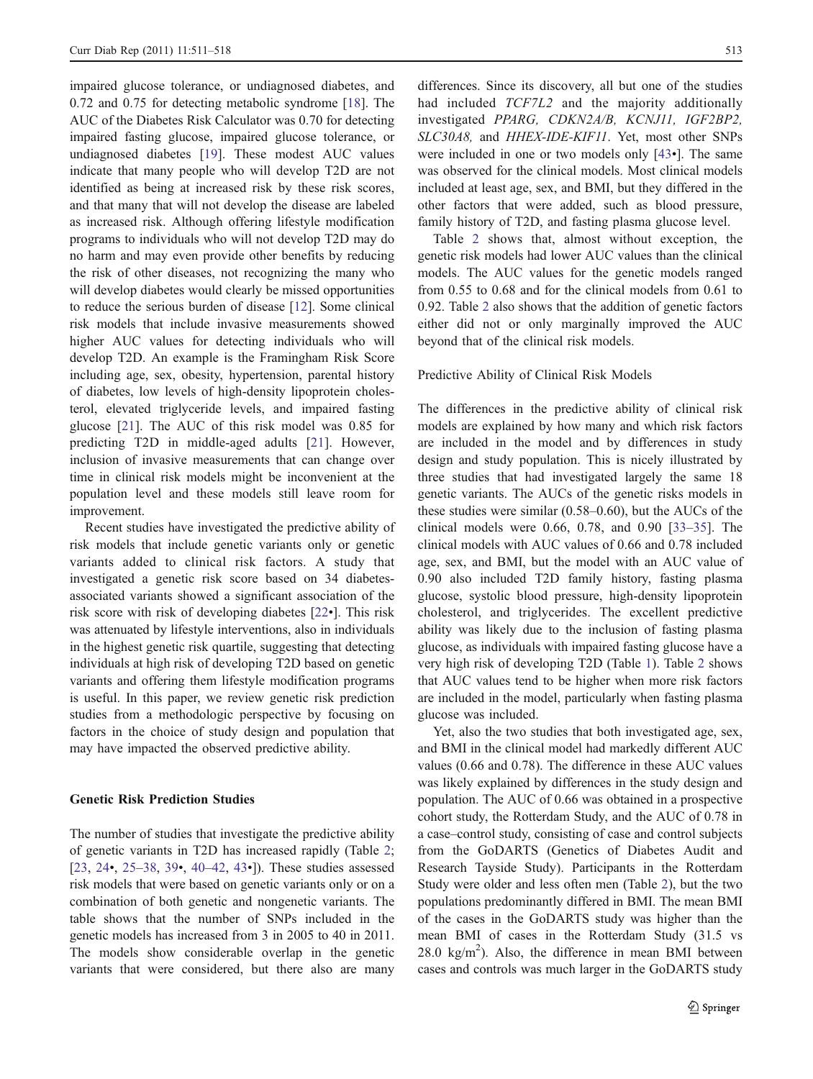impaired glucose tolerance, or undiagnosed diabetes, and 0.72 and 0.75 for detecting metabolic syndrome [\[18](#page-7-0)]. The AUC of the Diabetes Risk Calculator was 0.70 for detecting impaired fasting glucose, impaired glucose tolerance, or undiagnosed diabetes [[19\]](#page-7-0). These modest AUC values indicate that many people who will develop T2D are not identified as being at increased risk by these risk scores, and that many that will not develop the disease are labeled as increased risk. Although offering lifestyle modification programs to individuals who will not develop T2D may do no harm and may even provide other benefits by reducing the risk of other diseases, not recognizing the many who will develop diabetes would clearly be missed opportunities to reduce the serious burden of disease [\[12](#page-6-0)]. Some clinical risk models that include invasive measurements showed higher AUC values for detecting individuals who will develop T2D. An example is the Framingham Risk Score including age, sex, obesity, hypertension, parental history of diabetes, low levels of high-density lipoprotein cholesterol, elevated triglyceride levels, and impaired fasting glucose [\[21](#page-7-0)]. The AUC of this risk model was 0.85 for predicting T2D in middle-aged adults [[21\]](#page-7-0). However, inclusion of invasive measurements that can change over time in clinical risk models might be inconvenient at the population level and these models still leave room for improvement.

Recent studies have investigated the predictive ability of risk models that include genetic variants only or genetic variants added to clinical risk factors. A study that investigated a genetic risk score based on 34 diabetesassociated variants showed a significant association of the risk score with risk of developing diabetes [[22](#page-7-0)•]. This risk was attenuated by lifestyle interventions, also in individuals in the highest genetic risk quartile, suggesting that detecting individuals at high risk of developing T2D based on genetic variants and offering them lifestyle modification programs is useful. In this paper, we review genetic risk prediction studies from a methodologic perspective by focusing on factors in the choice of study design and population that may have impacted the observed predictive ability.

#### Genetic Risk Prediction Studies

The number of studies that investigate the predictive ability of genetic variants in T2D has increased rapidly (Table [2](#page-3-0); [\[23](#page-7-0), [24](#page-7-0)•, [25](#page-7-0)–[38,](#page-7-0) [39](#page-7-0)•, [40](#page-7-0)–[42](#page-7-0), [43](#page-7-0)•]). These studies assessed risk models that were based on genetic variants only or on a combination of both genetic and nongenetic variants. The table shows that the number of SNPs included in the genetic models has increased from 3 in 2005 to 40 in 2011. The models show considerable overlap in the genetic variants that were considered, but there also are many differences. Since its discovery, all but one of the studies had included TCF7L2 and the majority additionally investigated PPARG, CDKN2A/B, KCNJ11, IGF2BP2, SLC30A8, and HHEX-IDE-KIF11. Yet, most other SNPs were included in one or two models only [\[43](#page-7-0)•]. The same was observed for the clinical models. Most clinical models included at least age, sex, and BMI, but they differed in the other factors that were added, such as blood pressure, family history of T2D, and fasting plasma glucose level.

Table [2](#page-3-0) shows that, almost without exception, the genetic risk models had lower AUC values than the clinical models. The AUC values for the genetic models ranged from 0.55 to 0.68 and for the clinical models from 0.61 to 0.92. Table [2](#page-3-0) also shows that the addition of genetic factors either did not or only marginally improved the AUC beyond that of the clinical risk models.

#### Predictive Ability of Clinical Risk Models

The differences in the predictive ability of clinical risk models are explained by how many and which risk factors are included in the model and by differences in study design and study population. This is nicely illustrated by three studies that had investigated largely the same 18 genetic variants. The AUCs of the genetic risks models in these studies were similar (0.58–0.60), but the AUCs of the clinical models were 0.66, 0.78, and 0.90 [\[33](#page-7-0)–[35](#page-7-0)]. The clinical models with AUC values of 0.66 and 0.78 included age, sex, and BMI, but the model with an AUC value of 0.90 also included T2D family history, fasting plasma glucose, systolic blood pressure, high-density lipoprotein cholesterol, and triglycerides. The excellent predictive ability was likely due to the inclusion of fasting plasma glucose, as individuals with impaired fasting glucose have a very high risk of developing T2D (Table [1\)](#page-1-0). Table [2](#page-3-0) shows that AUC values tend to be higher when more risk factors are included in the model, particularly when fasting plasma glucose was included.

Yet, also the two studies that both investigated age, sex, and BMI in the clinical model had markedly different AUC values (0.66 and 0.78). The difference in these AUC values was likely explained by differences in the study design and population. The AUC of 0.66 was obtained in a prospective cohort study, the Rotterdam Study, and the AUC of 0.78 in a case–control study, consisting of case and control subjects from the GoDARTS (Genetics of Diabetes Audit and Research Tayside Study). Participants in the Rotterdam Study were older and less often men (Table [2\)](#page-3-0), but the two populations predominantly differed in BMI. The mean BMI of the cases in the GoDARTS study was higher than the mean BMI of cases in the Rotterdam Study (31.5 vs  $28.0 \text{ kg/m}^2$ ). Also, the difference in mean BMI between cases and controls was much larger in the GoDARTS study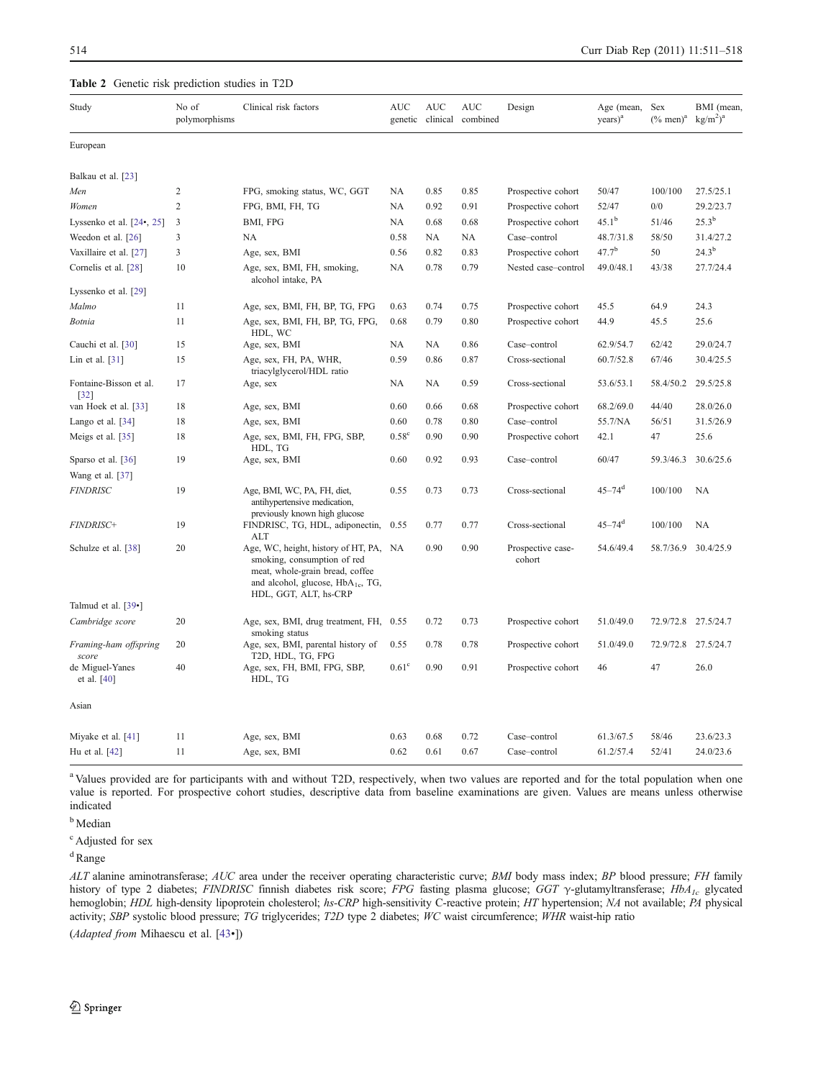#### <span id="page-3-0"></span>Table 2 Genetic risk prediction studies in T2D

| Study                            | No of<br>polymorphisms | Clinical risk factors                                                                                                                                                              | <b>AUC</b><br>genetic | <b>AUC</b><br>clinical | <b>AUC</b><br>combined | Design                      | Age (mean,<br>$\text{years}$ ) <sup>a</sup> | Sex<br>$(\%$ men) <sup>a</sup> | BMI (mean<br>kg/m <sup>2</sup> ) <sup>a</sup> |
|----------------------------------|------------------------|------------------------------------------------------------------------------------------------------------------------------------------------------------------------------------|-----------------------|------------------------|------------------------|-----------------------------|---------------------------------------------|--------------------------------|-----------------------------------------------|
| European                         |                        |                                                                                                                                                                                    |                       |                        |                        |                             |                                             |                                |                                               |
| Balkau et al. [23]               |                        |                                                                                                                                                                                    |                       |                        |                        |                             |                                             |                                |                                               |
| Men                              | 2                      | FPG, smoking status, WC, GGT                                                                                                                                                       | <b>NA</b>             | 0.85                   | 0.85                   | Prospective cohort          | 50/47                                       | 100/100                        | 27.5/25.1                                     |
| Women                            | $\overline{c}$         | FPG, BMI, FH, TG                                                                                                                                                                   | NA                    | 0.92                   | 0.91                   | Prospective cohort          | 52/47                                       | 0/0                            | 29.2/23.7                                     |
| Lyssenko et al. $[24, 25]$       | $\mathfrak{Z}$         | BMI, FPG                                                                                                                                                                           | NA                    | 0.68                   | 0.68                   | Prospective cohort          | $45.1^{\rm b}$                              | 51/46                          | $25.3^{b}$                                    |
| Weedon et al. [26]               | 3                      | NA                                                                                                                                                                                 | 0.58                  | NA                     | NA                     | Case-control                | 48.7/31.8                                   | 58/50                          | 31.4/27.2                                     |
| Vaxillaire et al. [27]           | 3                      | Age, sex, BMI                                                                                                                                                                      | 0.56                  | 0.82                   | 0.83                   | Prospective cohort          | $47.7^{b}$                                  | 50                             | $24.3^{b}$                                    |
| Cornelis et al. [28]             | 10                     | Age, sex, BMI, FH, smoking,<br>alcohol intake, PA                                                                                                                                  | NA                    | 0.78                   | 0.79                   | Nested case-control         | 49.0/48.1                                   | 43/38                          | 27.7/24.4                                     |
| Lyssenko et al. [29]             |                        |                                                                                                                                                                                    |                       |                        |                        |                             |                                             |                                |                                               |
| Malmo                            | 11                     | Age, sex, BMI, FH, BP, TG, FPG                                                                                                                                                     | 0.63                  | 0.74                   | 0.75                   | Prospective cohort          | 45.5                                        | 64.9                           | 24.3                                          |
| Botnia                           | 11                     | Age, sex, BMI, FH, BP, TG, FPG,<br>HDL, WC                                                                                                                                         | 0.68                  | 0.79                   | 0.80                   | Prospective cohort          | 44.9                                        | 45.5                           | 25.6                                          |
| Cauchi et al. [30]               | 15                     | Age, sex, BMI                                                                                                                                                                      | NA                    | NA                     | 0.86                   | Case-control                | 62.9/54.7                                   | 62/42                          | 29.0/24.7                                     |
| Lin et al. $[31]$                | 15                     | Age, sex, FH, PA, WHR,<br>triacylglycerol/HDL ratio                                                                                                                                | 0.59                  | 0.86                   | 0.87                   | Cross-sectional             | 60.7/52.8                                   | 67/46                          | 30.4/25.5                                     |
| Fontaine-Bisson et al.<br>$[32]$ | 17                     | Age, sex                                                                                                                                                                           | NA                    | NA                     | 0.59                   | Cross-sectional             | 53.6/53.1                                   | 58.4/50.2                      | 29.5/25.8                                     |
| van Hoek et al. [33]             | 18                     | Age, sex, BMI                                                                                                                                                                      | 0.60                  | 0.66                   | 0.68                   | Prospective cohort          | 68.2/69.0                                   | 44/40                          | 28.0/26.0                                     |
| Lango et al. [34]                | 18                     | Age, sex, BMI                                                                                                                                                                      | 0.60                  | 0.78                   | 0.80                   | Case-control                | 55.7/NA                                     | 56/51                          | 31.5/26.9                                     |
| Meigs et al. [35]                | 18                     | Age, sex, BMI, FH, FPG, SBP,<br>HDL, TG                                                                                                                                            | $0.58^\circ$          | 0.90                   | 0.90                   | Prospective cohort          | 42.1                                        | 47                             | 25.6                                          |
| Sparso et al. [36]               | 19                     | Age, sex, BMI                                                                                                                                                                      | 0.60                  | 0.92                   | 0.93                   | Case-control                | 60/47                                       | 59.3/46.3                      | 30.6/25.6                                     |
| Wang et al. [37]                 |                        |                                                                                                                                                                                    |                       |                        |                        |                             |                                             |                                |                                               |
| <b>FINDRISC</b>                  | 19                     | Age, BMI, WC, PA, FH, diet,<br>antihypertensive medication,<br>previously known high glucose                                                                                       | 0.55                  | 0.73                   | 0.73                   | Cross-sectional             | $45 - 74$ <sup>d</sup>                      | 100/100                        | <b>NA</b>                                     |
| <b>FINDRISC+</b>                 | 19                     | FINDRISC, TG, HDL, adiponectin,<br>ALT                                                                                                                                             | 0.55                  | 0.77                   | 0.77                   | Cross-sectional             | $45 - 74$ <sup>d</sup>                      | 100/100                        | <b>NA</b>                                     |
| Schulze et al. [38]              | 20                     | Age, WC, height, history of HT, PA, NA<br>smoking, consumption of red<br>meat, whole-grain bread, coffee<br>and alcohol, glucose, HbA <sub>1c</sub> , TG,<br>HDL, GGT, ALT, hs-CRP |                       | 0.90                   | 0.90                   | Prospective case-<br>cohort | 54.6/49.4                                   | 58.7/36.9 30.4/25.9            |                                               |
| Talmud et al. [39•]              |                        |                                                                                                                                                                                    |                       |                        |                        |                             |                                             |                                |                                               |
| Cambridge score                  | 20                     | Age, sex, BMI, drug treatment, FH, 0.55<br>smoking status                                                                                                                          |                       | 0.72                   | 0.73                   | Prospective cohort          | 51.0/49.0                                   | 72.9/72.8 27.5/24.7            |                                               |
| Framing-ham offspring<br>score   | 20                     | Age, sex, BMI, parental history of<br>T2D, HDL, TG, FPG                                                                                                                            | 0.55                  | 0.78                   | 0.78                   | Prospective cohort          | 51.0/49.0                                   | 72.9/72.8 27.5/24.7            |                                               |
| de Miguel-Yanes<br>et al. $[40]$ | 40                     | Age, sex, FH, BMI, FPG, SBP,<br>HDL, TG                                                                                                                                            | 0.61 <sup>c</sup>     | 0.90                   | 0.91                   | Prospective cohort          | 46                                          | 47                             | 26.0                                          |
| Asian                            |                        |                                                                                                                                                                                    |                       |                        |                        |                             |                                             |                                |                                               |
| Miyake et al. [41]               | 11                     | Age, sex, BMI                                                                                                                                                                      | 0.63                  | 0.68                   | 0.72                   | Case-control                | 61.3/67.5                                   | 58/46                          | 23.6/23.3                                     |
| Hu et al. [42]                   | 11                     | Age, sex, BMI                                                                                                                                                                      | 0.62                  | 0.61                   | 0.67                   | Case-control                | 61.2/57.4                                   | 52/41                          | 24.0/23.6                                     |

<sup>a</sup> Values provided are for participants with and without T2D, respectively, when two values are reported and for the total population when one value is reported. For prospective cohort studies, descriptive data from baseline examinations are given. Values are means unless otherwise indicated

**b** Median

<sup>c</sup> Adjusted for sex

 $d$ Range

ALT alanine aminotransferase; AUC area under the receiver operating characteristic curve; BMI body mass index; BP blood pressure; FH family history of type 2 diabetes; FINDRISC finnish diabetes risk score; FPG fasting plasma glucose; GGT γ-glutamyltransferase; HbA<sub>1c</sub> glycated hemoglobin; HDL high-density lipoprotein cholesterol; hs-CRP high-sensitivity C-reactive protein; HT hypertension; NA not available; PA physical activity; SBP systolic blood pressure; TG triglycerides; T2D type 2 diabetes; WC waist circumference; WHR waist-hip ratio

(Adapted from Mihaescu et al. [[43](#page-7-0)•])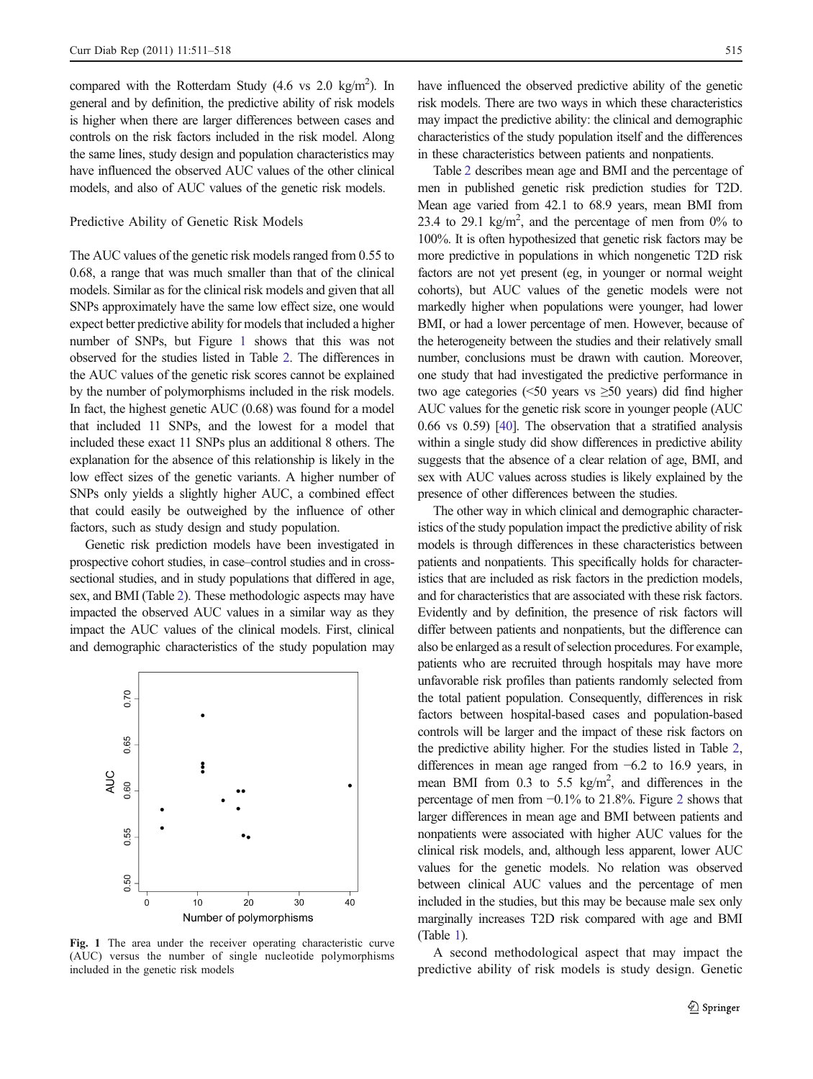compared with the Rotterdam Study  $(4.6 \text{ vs } 2.0 \text{ kg/m}^2)$ . In general and by definition, the predictive ability of risk models is higher when there are larger differences between cases and controls on the risk factors included in the risk model. Along the same lines, study design and population characteristics may have influenced the observed AUC values of the other clinical models, and also of AUC values of the genetic risk models.

#### Predictive Ability of Genetic Risk Models

The AUC values of the genetic risk models ranged from 0.55 to 0.68, a range that was much smaller than that of the clinical models. Similar as for the clinical risk models and given that all SNPs approximately have the same low effect size, one would expect better predictive ability for models that included a higher number of SNPs, but Figure 1 shows that this was not observed for the studies listed in Table [2](#page-3-0). The differences in the AUC values of the genetic risk scores cannot be explained by the number of polymorphisms included in the risk models. In fact, the highest genetic AUC (0.68) was found for a model that included 11 SNPs, and the lowest for a model that included these exact 11 SNPs plus an additional 8 others. The explanation for the absence of this relationship is likely in the low effect sizes of the genetic variants. A higher number of SNPs only yields a slightly higher AUC, a combined effect that could easily be outweighed by the influence of other factors, such as study design and study population.

Genetic risk prediction models have been investigated in prospective cohort studies, in case–control studies and in crosssectional studies, and in study populations that differed in age, sex, and BMI (Table [2\)](#page-3-0). These methodologic aspects may have impacted the observed AUC values in a similar way as they impact the AUC values of the clinical models. First, clinical and demographic characteristics of the study population may



Fig. 1 The area under the receiver operating characteristic curve (AUC) versus the number of single nucleotide polymorphisms included in the genetic risk models

have influenced the observed predictive ability of the genetic risk models. There are two ways in which these characteristics may impact the predictive ability: the clinical and demographic characteristics of the study population itself and the differences in these characteristics between patients and nonpatients.

Table [2](#page-3-0) describes mean age and BMI and the percentage of men in published genetic risk prediction studies for T2D. Mean age varied from 42.1 to 68.9 years, mean BMI from 23.4 to 29.1  $\text{kg/m}^2$ , and the percentage of men from 0% to 100%. It is often hypothesized that genetic risk factors may be more predictive in populations in which nongenetic T2D risk factors are not yet present (eg, in younger or normal weight cohorts), but AUC values of the genetic models were not markedly higher when populations were younger, had lower BMI, or had a lower percentage of men. However, because of the heterogeneity between the studies and their relatively small number, conclusions must be drawn with caution. Moreover, one study that had investigated the predictive performance in two age categories ( $\leq 50$  years vs  $\geq 50$  years) did find higher AUC values for the genetic risk score in younger people (AUC 0.66 vs 0.59) [\[40](#page-7-0)]. The observation that a stratified analysis within a single study did show differences in predictive ability suggests that the absence of a clear relation of age, BMI, and sex with AUC values across studies is likely explained by the presence of other differences between the studies.

The other way in which clinical and demographic characteristics of the study population impact the predictive ability of risk models is through differences in these characteristics between patients and nonpatients. This specifically holds for characteristics that are included as risk factors in the prediction models, and for characteristics that are associated with these risk factors. Evidently and by definition, the presence of risk factors will differ between patients and nonpatients, but the difference can also be enlarged as a result of selection procedures. For example, patients who are recruited through hospitals may have more unfavorable risk profiles than patients randomly selected from the total patient population. Consequently, differences in risk factors between hospital-based cases and population-based controls will be larger and the impact of these risk factors on the predictive ability higher. For the studies listed in Table [2,](#page-3-0) differences in mean age ranged from −6.2 to 16.9 years, in mean BMI from  $0.3$  to  $5.5 \text{ kg/m}^2$ , and differences in the percentage of men from −0.1% to 21.8%. Figure [2](#page-5-0) shows that larger differences in mean age and BMI between patients and nonpatients were associated with higher AUC values for the clinical risk models, and, although less apparent, lower AUC values for the genetic models. No relation was observed between clinical AUC values and the percentage of men included in the studies, but this may be because male sex only marginally increases T2D risk compared with age and BMI (Table [1\)](#page-1-0).

A second methodological aspect that may impact the predictive ability of risk models is study design. Genetic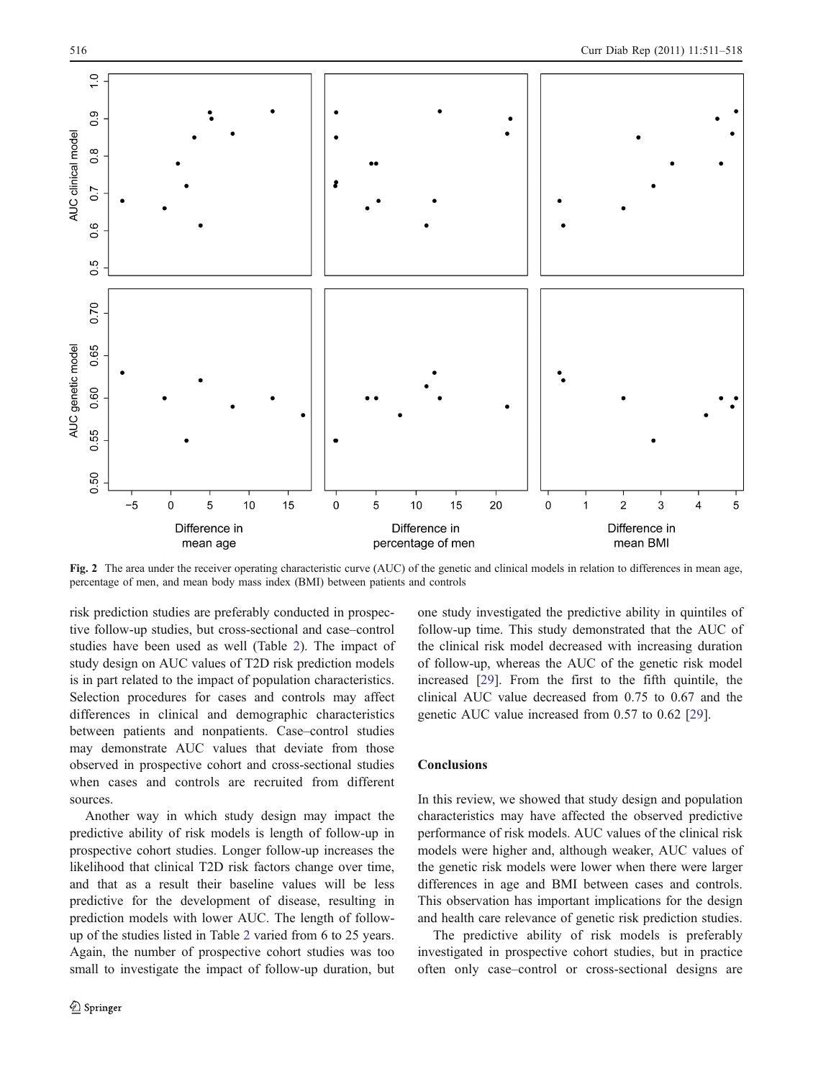<span id="page-5-0"></span>

Fig. 2 The area under the receiver operating characteristic curve (AUC) of the genetic and clinical models in relation to differences in mean age, percentage of men, and mean body mass index (BMI) between patients and controls

risk prediction studies are preferably conducted in prospective follow-up studies, but cross-sectional and case–control studies have been used as well (Table [2\)](#page-3-0). The impact of study design on AUC values of T2D risk prediction models is in part related to the impact of population characteristics. Selection procedures for cases and controls may affect differences in clinical and demographic characteristics between patients and nonpatients. Case–control studies may demonstrate AUC values that deviate from those observed in prospective cohort and cross-sectional studies when cases and controls are recruited from different sources.

Another way in which study design may impact the predictive ability of risk models is length of follow-up in prospective cohort studies. Longer follow-up increases the likelihood that clinical T2D risk factors change over time, and that as a result their baseline values will be less predictive for the development of disease, resulting in prediction models with lower AUC. The length of followup of the studies listed in Table [2](#page-3-0) varied from 6 to 25 years. Again, the number of prospective cohort studies was too small to investigate the impact of follow-up duration, but one study investigated the predictive ability in quintiles of follow-up time. This study demonstrated that the AUC of the clinical risk model decreased with increasing duration of follow-up, whereas the AUC of the genetic risk model increased [\[29](#page-7-0)]. From the first to the fifth quintile, the clinical AUC value decreased from 0.75 to 0.67 and the genetic AUC value increased from 0.57 to 0.62 [[29\]](#page-7-0).

## **Conclusions**

In this review, we showed that study design and population characteristics may have affected the observed predictive performance of risk models. AUC values of the clinical risk models were higher and, although weaker, AUC values of the genetic risk models were lower when there were larger differences in age and BMI between cases and controls. This observation has important implications for the design and health care relevance of genetic risk prediction studies.

The predictive ability of risk models is preferably investigated in prospective cohort studies, but in practice often only case–control or cross-sectional designs are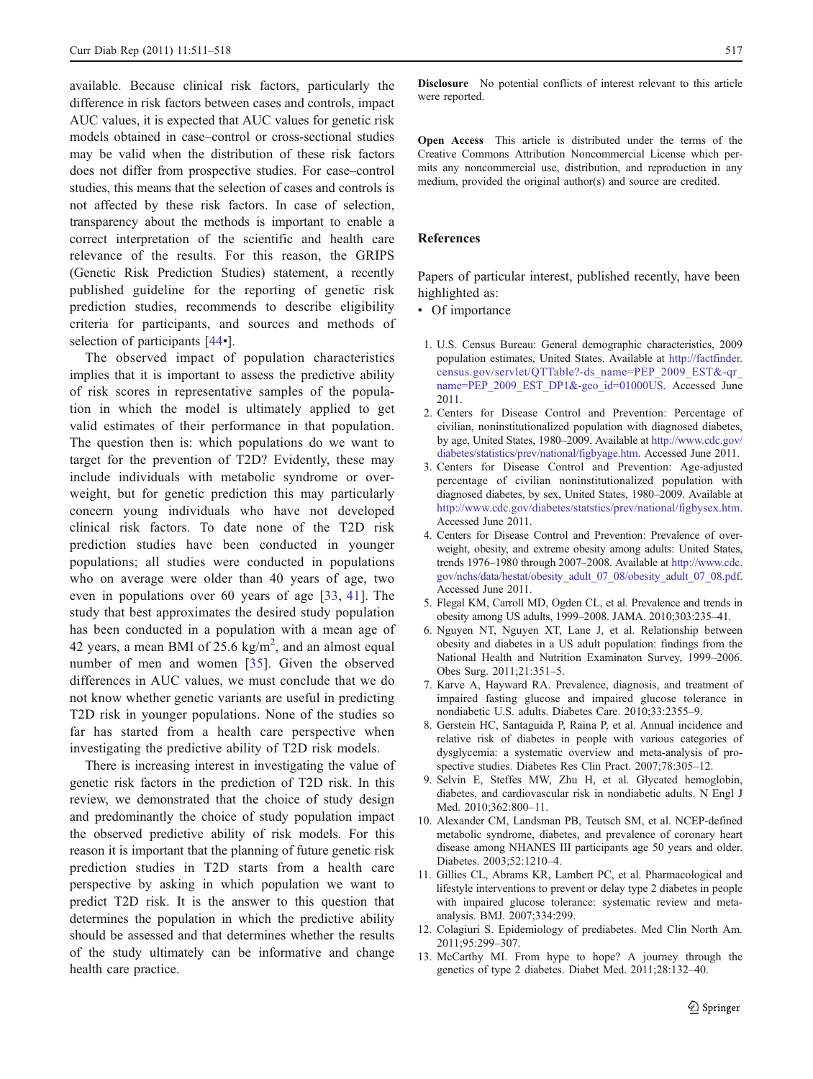<span id="page-6-0"></span>available. Because clinical risk factors, particularly the difference in risk factors between cases and controls, impact AUC values, it is expected that AUC values for genetic risk models obtained in case–control or cross-sectional studies may be valid when the distribution of these risk factors does not differ from prospective studies. For case–control studies, this means that the selection of cases and controls is not affected by these risk factors. In case of selection, transparency about the methods is important to enable a correct interpretation of the scientific and health care relevance of the results. For this reason, the GRIPS (Genetic Risk Prediction Studies) statement, a recently published guideline for the reporting of genetic risk prediction studies, recommends to describe eligibility criteria for participants, and sources and methods of selection of participants [\[44](#page-7-0)•].

The observed impact of population characteristics implies that it is important to assess the predictive ability of risk scores in representative samples of the population in which the model is ultimately applied to get valid estimates of their performance in that population. The question then is: which populations do we want to target for the prevention of T2D? Evidently, these may include individuals with metabolic syndrome or overweight, but for genetic prediction this may particularly concern young individuals who have not developed clinical risk factors. To date none of the T2D risk prediction studies have been conducted in younger populations; all studies were conducted in populations who on average were older than 40 years of age, two even in populations over 60 years of age [[33,](#page-7-0) [41](#page-7-0)]. The study that best approximates the desired study population has been conducted in a population with a mean age of 42 years, a mean BMI of  $25.6 \text{ kg/m}^2$ , and an almost equal number of men and women [[35](#page-7-0)]. Given the observed differences in AUC values, we must conclude that we do not know whether genetic variants are useful in predicting T2D risk in younger populations. None of the studies so far has started from a health care perspective when investigating the predictive ability of T2D risk models.

There is increasing interest in investigating the value of genetic risk factors in the prediction of T2D risk. In this review, we demonstrated that the choice of study design and predominantly the choice of study population impact the observed predictive ability of risk models. For this reason it is important that the planning of future genetic risk prediction studies in T2D starts from a health care perspective by asking in which population we want to predict T2D risk. It is the answer to this question that determines the population in which the predictive ability should be assessed and that determines whether the results of the study ultimately can be informative and change health care practice.

Disclosure No potential conflicts of interest relevant to this article were reported.

Open Access This article is distributed under the terms of the Creative Commons Attribution Noncommercial License which permits any noncommercial use, distribution, and reproduction in any medium, provided the original author(s) and source are credited.

## References

Papers of particular interest, published recently, have been highlighted as:

• Of importance

- 1. U.S. Census Bureau: General demographic characteristics, 2009 population estimates, United States. Available at [http://factfinder.](http://factfinder.census.gov/servlet/QTTable?-ds_name=PEP_2009_EST&-qr_name=PEP_2009_EST_DP1&-geo_id=01000US) [census.gov/servlet/QTTable?-ds\\_name=PEP\\_2009\\_EST&-qr\\_](http://factfinder.census.gov/servlet/QTTable?-ds_name=PEP_2009_EST&-qr_name=PEP_2009_EST_DP1&-geo_id=01000US) [name=PEP\\_2009\\_EST\\_DP1&-geo\\_id=01000US.](http://factfinder.census.gov/servlet/QTTable?-ds_name=PEP_2009_EST&-qr_name=PEP_2009_EST_DP1&-geo_id=01000US) Accessed June 2011.
- 2. Centers for Disease Control and Prevention: Percentage of civilian, noninstitutionalized population with diagnosed diabetes, by age, United States, 1980–2009. Available at [http://www.cdc.gov/](http://www.cdc.gov/diabetes/statistics/prev/national/figbyage.htm) [diabetes/statistics/prev/national/figbyage.htm](http://www.cdc.gov/diabetes/statistics/prev/national/figbyage.htm). Accessed June 2011.
- 3. Centers for Disease Control and Prevention: Age-adjusted percentage of civilian noninstitutionalized population with diagnosed diabetes, by sex, United States, 1980–2009. Available at <http://www.cdc.gov/diabetes/statstics/prev/national/figbysex.htm>. Accessed June 2011.
- 4. Centers for Disease Control and Prevention: Prevalence of overweight, obesity, and extreme obesity among adults: United States, trends 1976–1980 through 2007–2008. Available at [http://www.cdc.](http://www.cdc.gov/nchs/data/hestat/obesity_adult_07_08/obesity_adult_07_08.pdf) [gov/nchs/data/hestat/obesity\\_adult\\_07\\_08/obesity\\_adult\\_07\\_08.pdf](http://www.cdc.gov/nchs/data/hestat/obesity_adult_07_08/obesity_adult_07_08.pdf). Accessed June 2011.
- 5. Flegal KM, Carroll MD, Ogden CL, et al. Prevalence and trends in obesity among US adults, 1999–2008. JAMA. 2010;303:235–41.
- 6. Nguyen NT, Nguyen XT, Lane J, et al. Relationship between obesity and diabetes in a US adult population: findings from the National Health and Nutrition Examinaton Survey, 1999–2006. Obes Surg. 2011;21:351–5.
- 7. Karve A, Hayward RA. Prevalence, diagnosis, and treatment of impaired fasting glucose and impaired glucose tolerance in nondiabetic U.S. adults. Diabetes Care. 2010;33:2355–9.
- 8. Gerstein HC, Santaguida P, Raina P, et al. Annual incidence and relative risk of diabetes in people with various categories of dysglycemia: a systematic overview and meta-analysis of prospective studies. Diabetes Res Clin Pract. 2007;78:305–12.
- 9. Selvin E, Steffes MW, Zhu H, et al. Glycated hemoglobin, diabetes, and cardiovascular risk in nondiabetic adults. N Engl J Med. 2010;362:800–11.
- 10. Alexander CM, Landsman PB, Teutsch SM, et al. NCEP-defined metabolic syndrome, diabetes, and prevalence of coronary heart disease among NHANES III participants age 50 years and older. Diabetes. 2003;52:1210–4.
- 11. Gillies CL, Abrams KR, Lambert PC, et al. Pharmacological and lifestyle interventions to prevent or delay type 2 diabetes in people with impaired glucose tolerance: systematic review and metaanalysis. BMJ. 2007;334:299.
- 12. Colagiuri S. Epidemiology of prediabetes. Med Clin North Am. 2011;95:299–307.
- 13. McCarthy MI. From hype to hope? A journey through the genetics of type 2 diabetes. Diabet Med. 2011;28:132–40.